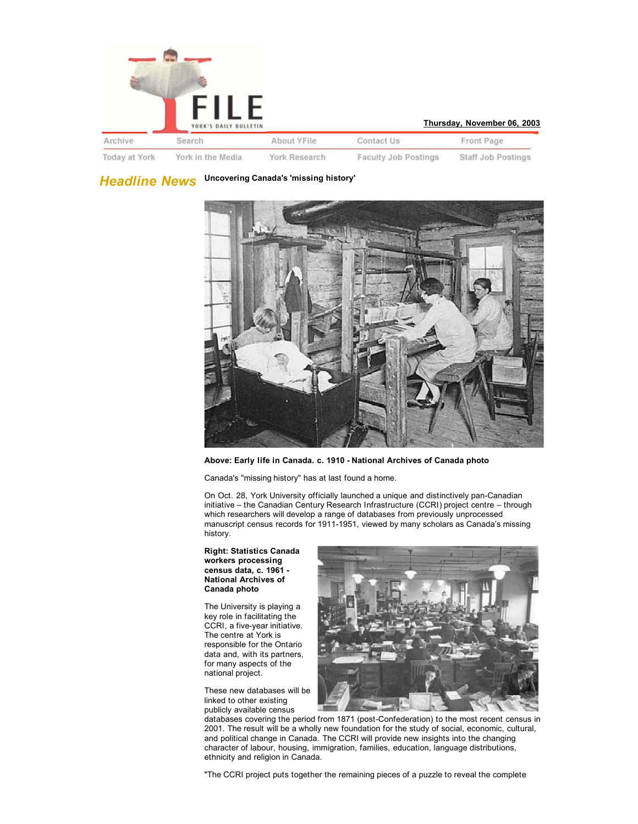

| Thursday, November 06, 2003 |  |  |
|-----------------------------|--|--|
|-----------------------------|--|--|

Contact Us About YFile Front Page Today at York York in the Media York Research Faculty Job Postings Staff Job Postings

*Headline News* **Uncovering Canada's 'missing history'**



## **Above: Early life in Canada. c. 1910 - National Archives of Canada photo**

Canada's "missing history" has at last found a home.

On Oct. 28, York University officially launched a unique and distinctively pan-Canadian initiative – the Canadian Century Research Infrastructure (CCRI) project centre – through which researchers will develop a range of databases from previously unprocessed manuscript census records for 1911-1951, viewed by many scholars as Canada's missing history.

## **Right: Statistics Canada workers processing census data, c. 1961 - National Archives of Canada photo**

The University is playing a key role in facilitating the CCRI, a five-year initiative. The centre at York is responsible for the Ontario data and, with its partners, for many aspects of the national project.

These new databases will be linked to other existing publicly available census



databases covering the period from 1871 (post-Confederation) to the most recent census in 2001. The result will be a wholly new foundation for the study of social, economic, cultural, and political change in Canada. The CCRI will provide new insights into the changing character of labour, housing, immigration, families, education, language distributions, ethnicity and religion in Canada.

"The CCRI project puts together the remaining pieces of a puzzle to reveal the complete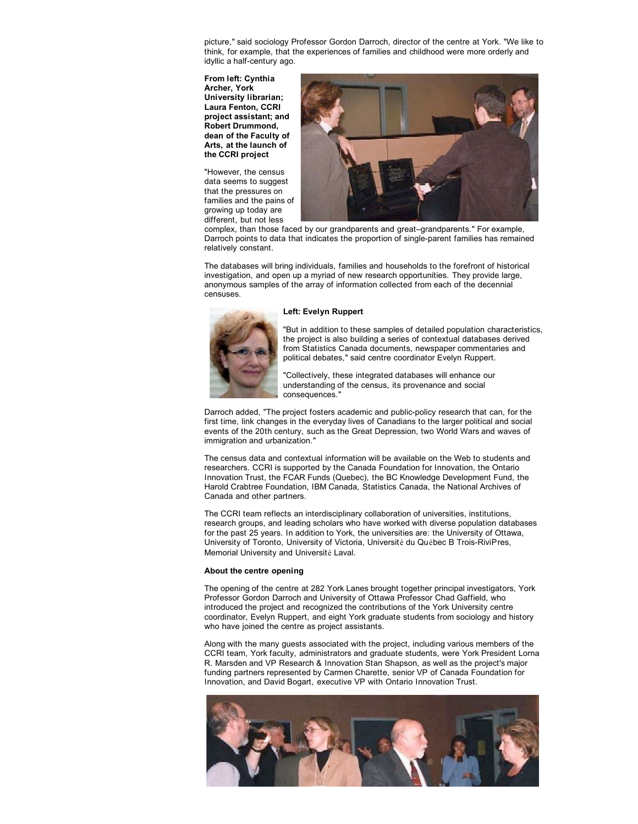picture," said sociology Professor Gordon Darroch, director of the centre at York. "We like to think, for example, that the experiences of families and childhood were more orderly and idyllic a half-century ago.

**From left: Cynthia Archer, York University librarian; Laura Fenton, CCRI project assistant; and Robert Drummond, dean of the Faculty of Arts, at the launch of the CCRI project**

"However, the census data seems to suggest that the pressures on families and the pains of growing up today are different, but not less



complex, than those faced by our grandparents and great–grandparents." For example, Darroch points to data that indicates the proportion of single-parent families has remained relatively constant.

The databases will bring individuals, families and households to the forefront of historical investigation, and open up a myriad of new research opportunities. They provide large, anonymous samples of the array of information collected from each of the decennial censuses.

## **Left: Evelyn Ruppert**



"But in addition to these samples of detailed population characteristics, the project is also building a series of contextual databases derived from Statistics Canada documents, newspaper commentaries and political debates," said centre coordinator Evelyn Ruppert.

"Collectively, these integrated databases will enhance our understanding of the census, its provenance and social consequences.

Darroch added, "The project fosters academic and public-policy research that can, for the first time, link changes in the everyday lives of Canadians to the larger political and social events of the 20th century, such as the Great Depression, two World Wars and waves of immigration and urbanization."

The census data and contextual information will be available on the Web to students and researchers. CCRI is supported by the Canada Foundation for Innovation, the Ontario Innovation Trust, the FCAR Funds (Quebec), the BC Knowledge Development Fund, the Harold Crabtree Foundation, IBM Canada, Statistics Canada, the National Archives of Canada and other partners.

The CCRI team reflects an interdisciplinary collaboration of universities, institutions, research groups, and leading scholars who have worked with diverse population databases for the past 25 years. In addition to York, the universities are: the University of Ottawa, University of Toronto, University of Victoria, Université du Québec B Trois-RiviPres, Memorial University and Université Laval.

## **About the centre opening**

The opening of the centre at 282 York Lanes brought together principal investigators, York Professor Gordon Darroch and University of Ottawa Professor Chad Gaffield, who introduced the project and recognized the contributions of the York University centre coordinator, Evelyn Ruppert, and eight York graduate students from sociology and history who have joined the centre as project assistants.

Along with the many guests associated with the project, including various members of the CCRI team, York faculty, administrators and graduate students, were York President Lorna R. Marsden and VP Research & Innovation Stan Shapson, as well as the project's major funding partners represented by Carmen Charette, senior VP of Canada Foundation for Innovation, and David Bogart, executive VP with Ontario Innovation Trust.